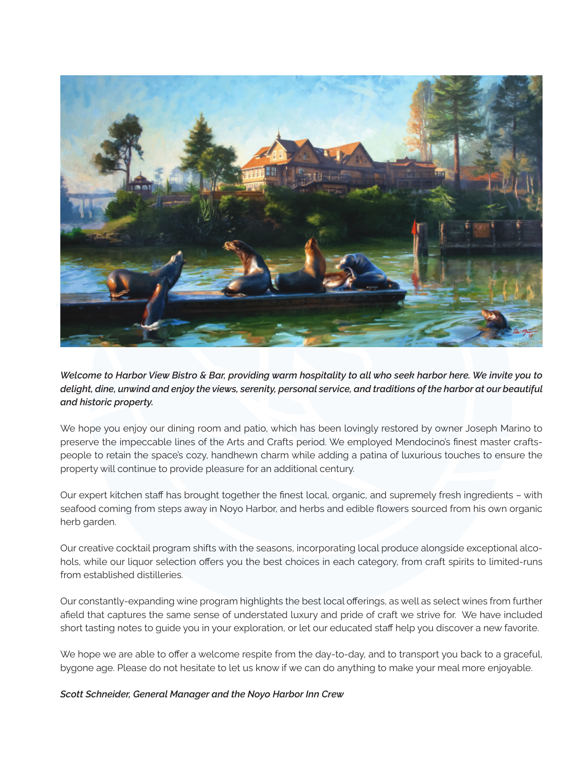

*Welcome to Harbor View Bistro & Bar, providing warm hospitality to all who seek harbor here. We invite you to delight, dine, unwind and enjoy the views, serenity, personal service, and traditions of the harbor at our beautiful and historic property.*

We hope you enjoy our dining room and patio, which has been lovingly restored by owner Joseph Marino to preserve the impeccable lines of the Arts and Crafts period. We employed Mendocino's finest master craftspeople to retain the space's cozy, handhewn charm while adding a patina of luxurious touches to ensure the property will continue to provide pleasure for an additional century.

Our expert kitchen staff has brought together the finest local, organic, and supremely fresh ingredients – with seafood coming from steps away in Noyo Harbor, and herbs and edible flowers sourced from his own organic herb garden.

Our creative cocktail program shifts with the seasons, incorporating local produce alongside exceptional alcohols, while our liquor selection offers you the best choices in each category, from craft spirits to limited-runs from established distilleries.

Our constantly-expanding wine program highlights the best local offerings, as well as select wines from further afield that captures the same sense of understated luxury and pride of craft we strive for. We have included short tasting notes to guide you in your exploration, or let our educated staff help you discover a new favorite.

We hope we are able to offer a welcome respite from the day-to-day, and to transport you back to a graceful, bygone age. Please do not hesitate to let us know if we can do anything to make your meal more enjoyable.

*Scott Schneider, General Manager and the Noyo Harbor Inn Crew*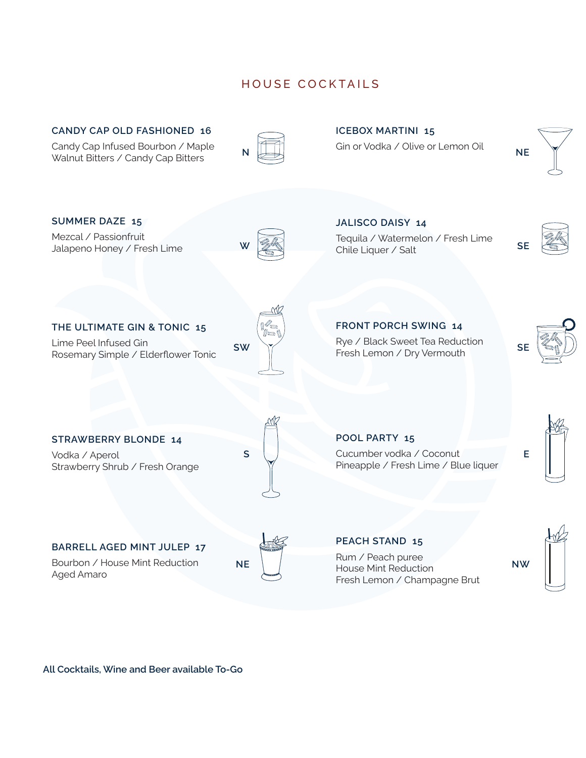# HOUSE COCKTAILS

#### **CANDY CAP OLD FASHIONED 16**

Candy Cap Infused Bourbon / Maple Walnut Bitters / Candy Cap Bitters



#### **ICEBOX MARTINI 15**

Gin or Vodka / Olive or Lemon Oil

**NE**



**All Cocktails, Wine and Beer available To-Go**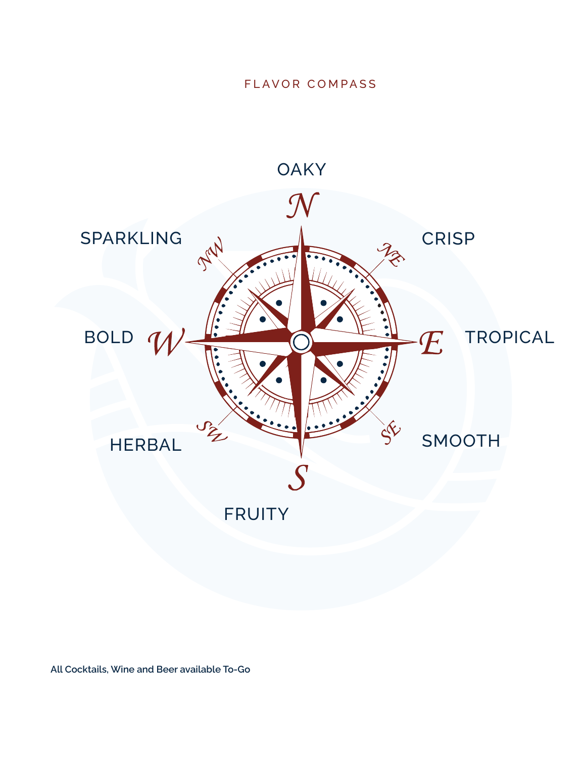## FLAVOR COMPASS



**All Cocktails, Wine and Beer available To-Go**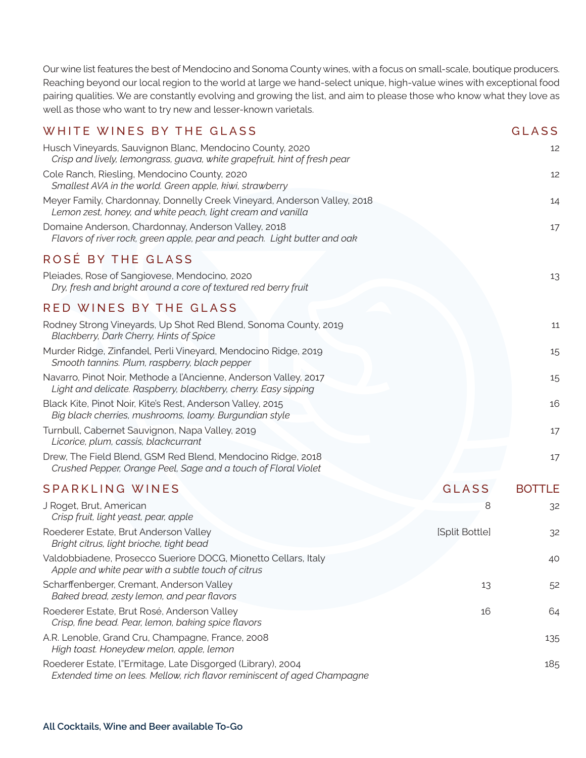Our wine list features the best of Mendocino and Sonoma County wines, with a focus on small-scale, boutique producers. Reaching beyond our local region to the world at large we hand-select unique, high-value wines with exceptional food pairing qualities. We are constantly evolving and growing the list, and aim to please those who know what they love as well as those who want to try new and lesser-known varietals.

| WHITE WINES BY THE GLASS                                                                                                                |                | <b>GLASS</b>  |
|-----------------------------------------------------------------------------------------------------------------------------------------|----------------|---------------|
| Husch Vineyards, Sauvignon Blanc, Mendocino County, 2020<br>Crisp and lively, lemongrass, guava, white grapefruit, hint of fresh pear   |                | 12            |
| Cole Ranch, Riesling, Mendocino County, 2020<br>Smallest AVA in the world. Green apple, kiwi, strawberry                                |                | 12            |
| Meyer Family, Chardonnay, Donnelly Creek Vineyard, Anderson Valley, 2018<br>Lemon zest, honey, and white peach, light cream and vanilla |                | 14            |
| Domaine Anderson, Chardonnay, Anderson Valley, 2018<br>Flavors of river rock, green apple, pear and peach. Light butter and oak         |                | 17            |
| ROSÉ BY THE GLASS                                                                                                                       |                |               |
| Pleiades, Rose of Sangiovese, Mendocino, 2020<br>Dry, fresh and bright around a core of textured red berry fruit                        |                | 13            |
| RED WINES BY THE GLASS                                                                                                                  |                |               |
| Rodney Strong Vineyards, Up Shot Red Blend, Sonoma County, 2019<br>Blackberry, Dark Cherry, Hints of Spice                              |                | 11            |
| Murder Ridge, Zinfandel, Perli Vineyard, Mendocino Ridge, 2019<br>Smooth tannins. Plum, raspberry, black pepper                         |                | 15            |
| Navarro, Pinot Noir, Methode a l'Ancienne, Anderson Valley, 2017<br>Light and delicate. Raspberry, blackberry, cherry. Easy sipping     |                | 15            |
| Black Kite, Pinot Noir, Kite's Rest, Anderson Valley, 2015<br>Big black cherries, mushrooms, loamy. Burgundian style                    |                | 16            |
| Turnbull, Cabernet Sauvignon, Napa Valley, 2019<br>Licorice, plum, cassis, blackcurrant                                                 |                | 17            |
| Drew, The Field Blend, GSM Red Blend, Mendocino Ridge, 2018<br>Crushed Pepper, Orange Peel, Sage and a touch of Floral Violet           |                | 17            |
| <b>SPARKLING WINES</b>                                                                                                                  | <b>GLASS</b>   | <b>BOTTLE</b> |
| J Roget, Brut, American<br>Crisp fruit, light yeast, pear, apple                                                                        | 8              | 32            |
| Roederer Estate, Brut Anderson Valley<br>Bright citrus, light brioche, tight bead                                                       | [Split Bottle] | 32            |
| Valdobbiadene, Prosecco Sueriore DOCG, Mionetto Cellars, Italy<br>Apple and white pear with a subtle touch of citrus                    |                | 40            |
| Scharffenberger, Cremant, Anderson Valley<br>Baked bread, zesty lemon, and pear flavors                                                 | 13             | 52            |
| Roederer Estate, Brut Rosé, Anderson Valley<br>Crisp, fine bead. Pear, lemon, baking spice flavors                                      | 16             | 64            |
| A.R. Lenoble, Grand Cru, Champagne, France, 2008<br>High toast. Honeydew melon, apple, lemon                                            |                | 135           |
| Roederer Estate, l"Ermitage, Late Disgorged (Library), 2004<br>Extended time on lees. Mellow, rich flavor reminiscent of aged Champagne |                | 185           |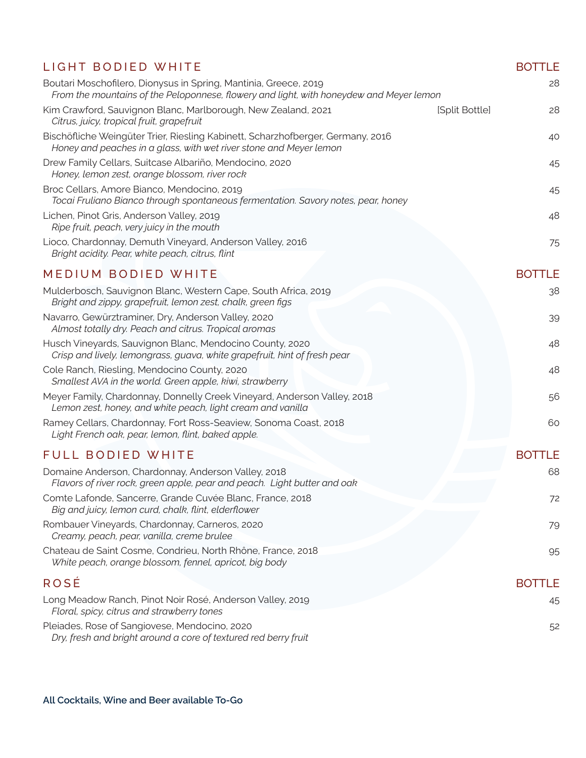| LIGHT BODIED WHITE                                                                                                                                          | <b>BOTTLE</b>        |
|-------------------------------------------------------------------------------------------------------------------------------------------------------------|----------------------|
| Boutari Moschofilero, Dionysus in Spring, Mantinia, Greece, 2019<br>From the mountains of the Peloponnese, flowery and light, with honeydew and Meyer lemon | 28                   |
| Kim Crawford, Sauvignon Blanc, Marlborough, New Zealand, 2021<br>Citrus, juicy, tropical fruit, grapefruit                                                  | [Split Bottle]<br>28 |
| Bischöfliche Weingüter Trier, Riesling Kabinett, Scharzhofberger, Germany, 2016<br>Honey and peaches in a glass, with wet river stone and Meyer lemon       | 40                   |
| Drew Family Cellars, Suitcase Albariño, Mendocino, 2020<br>Honey, lemon zest, orange blossom, river rock                                                    | 45                   |
| Broc Cellars, Amore Bianco, Mendocino, 2019<br>Tocai Fruliano Bianco through spontaneous fermentation. Savory notes, pear, honey                            | 45                   |
| Lichen, Pinot Gris, Anderson Valley, 2019<br>Ripe fruit, peach, very juicy in the mouth                                                                     | 48                   |
| Lioco, Chardonnay, Demuth Vineyard, Anderson Valley, 2016<br>Bright acidity. Pear, white peach, citrus, flint                                               | 75                   |
| MEDIUM BODIED WHITE                                                                                                                                         | <b>BOTTLE</b>        |
| Mulderbosch, Sauvignon Blanc, Western Cape, South Africa, 2019<br>Bright and zippy, grapefruit, lemon zest, chalk, green figs                               | 38                   |
| Navarro, Gewürztraminer, Dry, Anderson Valley, 2020<br>Almost totally dry. Peach and citrus. Tropical aromas                                                | 39                   |
| Husch Vineyards, Sauvignon Blanc, Mendocino County, 2020<br>Crisp and lively, lemongrass, guava, white grapefruit, hint of fresh pear                       | 48                   |
| Cole Ranch, Riesling, Mendocino County, 2020<br>Smallest AVA in the world. Green apple, kiwi, strawberry                                                    | 48                   |
| Meyer Family, Chardonnay, Donnelly Creek Vineyard, Anderson Valley, 2018<br>Lemon zest, honey, and white peach, light cream and vanilla                     | 56                   |
| Ramey Cellars, Chardonnay, Fort Ross-Seaview, Sonoma Coast, 2018<br>Light French oak, pear, lemon, flint, baked apple.                                      | 60                   |
| <b>FULL BODIED WHITE</b>                                                                                                                                    | <b>BOTTLE</b>        |
| Domaine Anderson, Chardonnay, Anderson Valley, 2018<br>Flavors of river rock, green apple, pear and peach. Light butter and oak                             | 68                   |
| Comte Lafonde, Sancerre, Grande Cuvée Blanc, France, 2018<br>Big and juicy, lemon curd, chalk, flint, elderflower                                           | 72                   |
| Rombauer Vineyards, Chardonnay, Carneros, 2020<br>Creamy, peach, pear, vanilla, creme brulee                                                                | 79                   |
| Chateau de Saint Cosme, Condrieu, North Rhône, France, 2018<br>White peach, orange blossom, fennel, apricot, big body                                       | 95                   |
| <b>ROSÉ</b>                                                                                                                                                 | <b>BOTTLE</b>        |
| Long Meadow Ranch, Pinot Noir Rosé, Anderson Valley, 2019<br>Floral, spicy, citrus and strawberry tones                                                     | 45                   |
| Pleiades, Rose of Sangiovese, Mendocino, 2020<br>Dry, fresh and bright around a core of textured red berry fruit                                            | 52                   |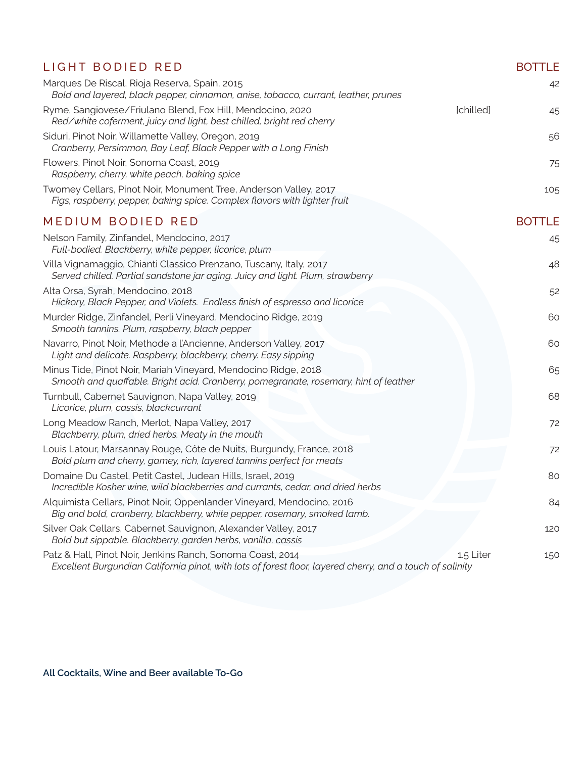| LIGHT BODIED RED                                                                                                                                                        |           | <b>BOTTLE</b> |
|-------------------------------------------------------------------------------------------------------------------------------------------------------------------------|-----------|---------------|
| Marques De Riscal, Rioja Reserva, Spain, 2015<br>Bold and layered, black pepper, cinnamon, anise, tobacco, currant, leather, prunes                                     |           | 42            |
| Ryme, Sangiovese/Friulano Blend, Fox Hill, Mendocino, 2020<br>Red/white coferment, juicy and light, best chilled, bright red cherry                                     | [chilled] | 45            |
| Siduri, Pinot Noir, Willamette Valley, Oregon, 2019<br>Cranberry, Persimmon, Bay Leaf, Black Pepper with a Long Finish                                                  |           | 56            |
| Flowers, Pinot Noir, Sonoma Coast, 2019<br>Raspberry, cherry, white peach, baking spice                                                                                 |           | 75            |
| Twomey Cellars, Pinot Noir, Monument Tree, Anderson Valley, 2017<br>Figs, raspberry, pepper, baking spice. Complex flavors with lighter fruit                           |           | 105           |
| MEDIUM BODIED RED                                                                                                                                                       |           | <b>BOTTLE</b> |
| Nelson Family, Zinfandel, Mendocino, 2017<br>Full-bodied. Blackberry, white pepper, licorice, plum                                                                      |           | 45            |
| Villa Vignamaggio, Chianti Classico Prenzano, Tuscany, Italy, 2017<br>Served chilled. Partial sandstone jar aging. Juicy and light. Plum, strawberry                    |           | 48            |
| Alta Orsa, Syrah, Mendocino, 2018<br>Hickory, Black Pepper, and Violets. Endless finish of espresso and licorice                                                        |           | 52            |
| Murder Ridge, Zinfandel, Perli Vineyard, Mendocino Ridge, 2019<br>Smooth tannins. Plum, raspberry, black pepper                                                         |           | 60            |
| Navarro, Pinot Noir, Methode a l'Ancienne, Anderson Valley, 2017<br>Light and delicate. Raspberry, blackberry, cherry. Easy sipping                                     |           | 60            |
| Minus Tide, Pinot Noir, Mariah Vineyard, Mendocino Ridge, 2018<br>Smooth and quaffable. Bright acid. Cranberry, pomegranate, rosemary, hint of leather                  |           | 65            |
| Turnbull, Cabernet Sauvignon, Napa Valley, 2019<br>Licorice, plum, cassis, blackcurrant                                                                                 |           | 68            |
| Long Meadow Ranch, Merlot, Napa Valley, 2017<br>Blackberry, plum, dried herbs. Meaty in the mouth                                                                       |           | 72            |
| Louis Latour, Marsannay Rouge, Côte de Nuits, Burgundy, France, 2018<br>Bold plum and cherry, gamey, rich, layered tannins perfect for meats                            |           | 72            |
| Domaine Du Castel, Petit Castel, Judean Hills, Israel, 2019<br>Incredible Kosher wine, wild blackberries and currants, cedar, and dried herbs                           |           | 80            |
| Alquimista Cellars, Pinot Noir, Oppenlander Vineyard, Mendocino, 2016<br>Big and bold, cranberry, blackberry, white pepper, rosemary, smoked lamb.                      |           | 84            |
| Silver Oak Cellars, Cabernet Sauvignon, Alexander Valley, 2017<br>Bold but sippable. Blackberry, garden herbs, vanilla, cassis                                          |           | 120           |
| Patz & Hall, Pinot Noir, Jenkins Ranch, Sonoma Coast, 2014<br>Excellent Burgundian California pinot, with lots of forest floor, layered cherry, and a touch of salinity | 1.5 Liter | 150           |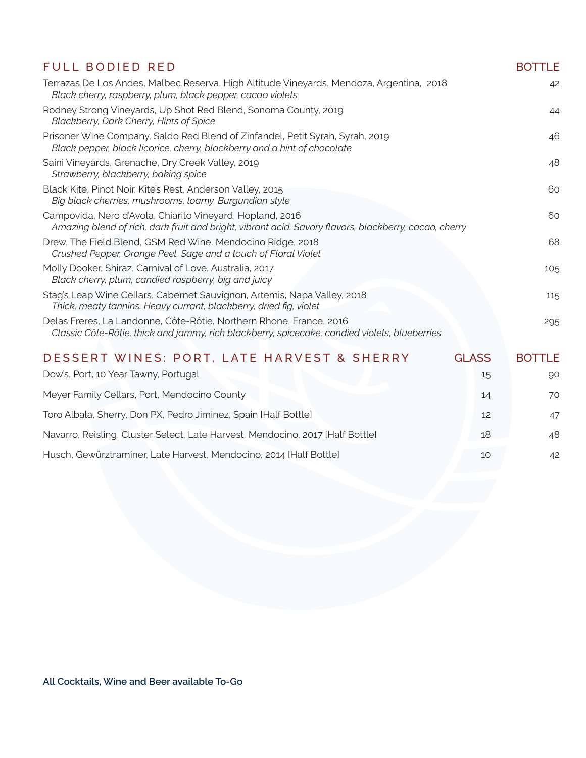| <b>FULL BODIED RED</b>                                                                                                                                               | <b>BOTTLE</b> |
|----------------------------------------------------------------------------------------------------------------------------------------------------------------------|---------------|
| Terrazas De Los Andes, Malbec Reserva, High Altitude Vineyards, Mendoza, Argentina, 2018<br>Black cherry, raspberry, plum, black pepper, cacao violets               | 42            |
| Rodney Strong Vineyards, Up Shot Red Blend, Sonoma County, 2019<br>Blackberry, Dark Cherry, Hints of Spice                                                           | 44            |
| Prisoner Wine Company, Saldo Red Blend of Zinfandel, Petit Syrah, Syrah, 2019<br>Black pepper, black licorice, cherry, blackberry and a hint of chocolate            | 46            |
| Saini Vineyards, Grenache, Dry Creek Valley, 2019<br>Strawberry, blackberry, baking spice                                                                            | 48            |
| Black Kite, Pinot Noir, Kite's Rest, Anderson Valley, 2015<br>Big black cherries, mushrooms, loamy. Burgundian style                                                 | 60            |
| Campovida, Nero d'Avola, Chiarito Vineyard, Hopland, 2016<br>Amazing blend of rich, dark fruit and bright, vibrant acid. Savory flavors, blackberry, cacao, cherry   | 60            |
| Drew, The Field Blend, GSM Red Wine, Mendocino Ridge, 2018<br>Crushed Pepper, Orange Peel, Sage and a touch of Floral Violet                                         | 68            |
| Molly Dooker, Shiraz, Carnival of Love, Australia, 2017<br>Black cherry, plum, candied raspberry, big and juicy                                                      | 105           |
| Stag's Leap Wine Cellars, Cabernet Sauvignon, Artemis, Napa Valley, 2018<br>Thick, meaty tannins. Heavy currant, blackberry, dried fig, violet                       | 115           |
| Delas Freres, La Landonne, Côte-Rôtie, Northern Rhone, France, 2016<br>Classic Côte-Rôtie, thick and jammy, rich blackberry, spicecake, candied violets, blueberries | 295           |

| DESSERT WINES: PORT, LATE HARVEST & SHERRY                                     | <b>GLASS</b> | <b>BOTTLE</b> |
|--------------------------------------------------------------------------------|--------------|---------------|
| Dow's, Port, 10 Year Tawny, Portugal                                           | 15           | 90            |
| Meyer Family Cellars, Port, Mendocino County                                   | 14           | 70            |
| Toro Albala, Sherry, Don PX, Pedro Jiminez, Spain [Half Bottle]                | 12           | 47            |
| Navarro, Reisling, Cluster Select, Late Harvest, Mendocino, 2017 [Half Bottle] | 18           | 48            |
| Husch, Gewürztraminer, Late Harvest, Mendocino, 2014 [Half Bottle]             | 10           | 42            |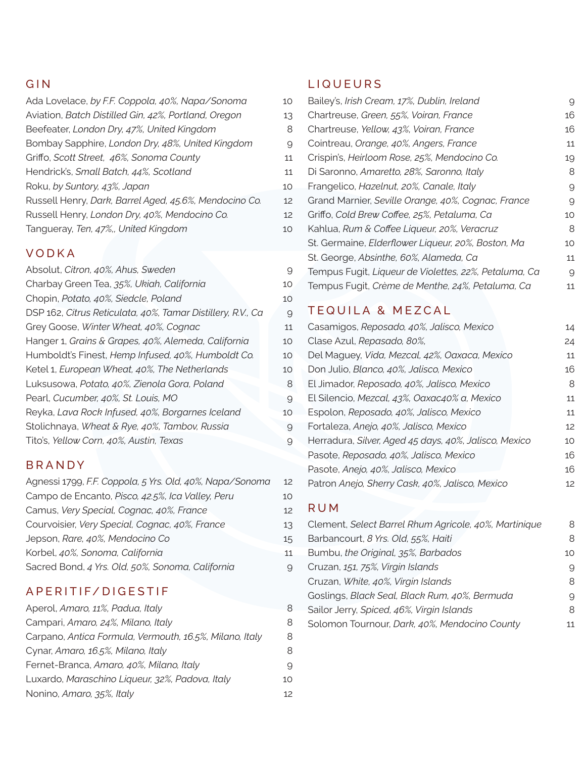### GIN

Ada Lovelace, *by F.F. Coppola, 40%, Napa/Sonoma* 10 Aviation, *Batch Distilled Gin, 42%, Portland, Oregon* 13 Beefeater, London Dry, 47%, United Kingdom Bombay Sapphire, *London Dry, 48%, United Kingdom* 9 Griffo, *Scott Street, 46%, Sonoma County* 11 Hendrick's, *Small Batch, 44%, Scotland* 11 Roku, by Suntory, 43%, Japan 10 Russell Henry, *Dark, Barrel Aged, 45.6%, Mendocino Co.* 12 Russell Henry, *London Dry, 40%, Mendocino Co.* 12 Tangueray, *Ten, 47%,, United Kingdom* 10

## VODKA

| Absolut, Citron, 40%, Ahus, Sweden                          | 9  |
|-------------------------------------------------------------|----|
| Charbay Green Tea, 35%, Ukiah, California                   | 10 |
| Chopin, Potato, 40%, Siedcle, Poland                        | 10 |
| DSP 162, Citrus Reticulata, 40%, Tamar Distillery, R.V., Ca | 9  |
| Grey Goose, Winter Wheat, 40%, Cognac                       | 11 |
| Hanger 1, Grains & Grapes, 40%, Alemeda, California         | 10 |
| Humboldt's Finest, Hemp Infused, 40%, Humboldt Co.          | 10 |
| Ketel 1, European Wheat, 40%, The Netherlands               | 10 |
| Luksusowa, Potato, 40%, Zienola Gora, Poland                | 8  |
| Pearl, Cucumber, 40%, St. Louis, MO                         | 9  |
| Reyka, Lava Rock Infused, 40%, Borgarnes Iceland            | 10 |
| Stolichnaya, Wheat & Rye, 40%, Tambov, Russia               | 9  |
| Tito's, Yellow Corn, 40%, Austin, Texas                     | 9  |
|                                                             |    |

### BRANDY

Agnessi 1799, *F.F. Coppola, 5 Yrs. Old, 40%, Napa/Sonoma* 12 Campo de Encanto, *Pisco, 42.5%, Ica Valley, Peru* 10 Camus, *Very Special, Cognac, 40%, France* 12 Courvoisier, *Very Special, Cognac, 40%, France* 13 Jepson, *Rare, 40%, Mendocino Co* 15 Korbel, 40%, Sonoma, California **11** and 11 Sacred Bond, 4 Yrs. Old, 50%, Sonoma, California 9

## APERITIF/DIGESTIF

| Aperol, Amaro, 11%, Padua, Italy                        | 8   |
|---------------------------------------------------------|-----|
| Campari, Amaro, 24%, Milano, Italy                      | 8.  |
| Carpano, Antica Formula, Vermouth, 16.5%, Milano, Italy | 8   |
| Cynar, Amaro, 16.5%, Milano, Italy                      | 8.  |
| Fernet-Branca, Amaro, 40%, Milano, Italy                | Q.  |
| Luxardo, Maraschino Liqueur, 32%, Padova, Italy         | 10  |
| Nonino, Amaro, 35%, Italy                               | 12. |

# LIQUEURS

| O              | Bailey's, Irish Cream, 17%, Dublin, Ireland           | 9  |
|----------------|-------------------------------------------------------|----|
| З              | Chartreuse, Green, 55%, Voiran, France                | 16 |
| 8              | Chartreuse, Yellow, 43%, Voiran, France               | 16 |
| 9              | Cointreau, Orange, 40%, Angers, France                | 11 |
| 11             | Crispin's, Heirloom Rose, 25%, Mendocino Co.          | 19 |
| 1              | Di Saronno, Amaretto, 28%, Saronno, Italy             | 8  |
| O              | Frangelico, Hazelnut, 20%, Canale, Italy              | 9  |
| $\overline{c}$ | Grand Marnier, Seville Orange, 40%, Cognac, France    | 9  |
| $\overline{c}$ | Griffo, Cold Brew Coffee, 25%, Petaluma, Ca           | 10 |
| O              | Kahlua, Rum & Coffee Liqueur, 20%, Veracruz           | 8  |
|                | St. Germaine, Elderflower Liqueur, 20%, Boston, Ma    | 10 |
|                | St. George, Absinthe, 60%, Alameda, Ca                | 11 |
| 9              | Tempus Fugit, Liqueur de Violettes, 22%, Petaluma, Ca | 9  |
| O              | Tempus Fugit, Crème de Menthe, 24%, Petaluma, Ca      | 11 |

# TEQUILA & MEZCAL

| 1 | Casamigos, Reposado, 40%, Jalisco, Mexico             | 14 |
|---|-------------------------------------------------------|----|
| C | Clase Azul, Repasado, 80%,                            | 24 |
| C | Del Maguey, Vida, Mezcal, 42%, Oaxaca, Mexico         | 11 |
| C | Don Julio, Blanco, 40%, Jalisco, Mexico               | 16 |
| 3 | El Jimador, Reposado, 40%, Jalisco, Mexico            | 8  |
| 3 | El Silencio, Mezcal, 43%, Oaxac40% a, Mexico          | 11 |
| C | Espolon, Reposado, 40%, Jalisco, Mexico               | 11 |
| F | Fortaleza, Anejo, 40%, Jalisco, Mexico                | 12 |
|   | Herradura, Silver, Aged 45 days, 40%, Jalisco, Mexico | 10 |
|   | Pasote, Reposado, 40%, Jalisco, Mexico                | 16 |
|   | Pasote, Anejo, 40%, Jalisco, Mexico                   | 16 |
|   | Patron Anejo, Sherry Cask, 40%, Jalisco, Mexico       | 12 |
|   |                                                       |    |

### RUM

| Clement, Select Barrel Rhum Agricole, 40%, Martinique | 8  |
|-------------------------------------------------------|----|
| Barbancourt, 8 Yrs. Old, 55%, Haiti                   | 8  |
| Bumbu, the Original, 35%, Barbados                    | 10 |
| Cruzan, 151, 75%, Virgin Islands                      | 9  |
| Cruzan, White, 40%, Virgin Islands                    | 8  |
| Goslings, Black Seal, Black Rum, 40%, Bermuda         | q  |
| Sailor Jerry, Spiced, 46%, Virgin Islands             | 8  |
| Solomon Tournour, Dark, 40%, Mendocino County         |    |